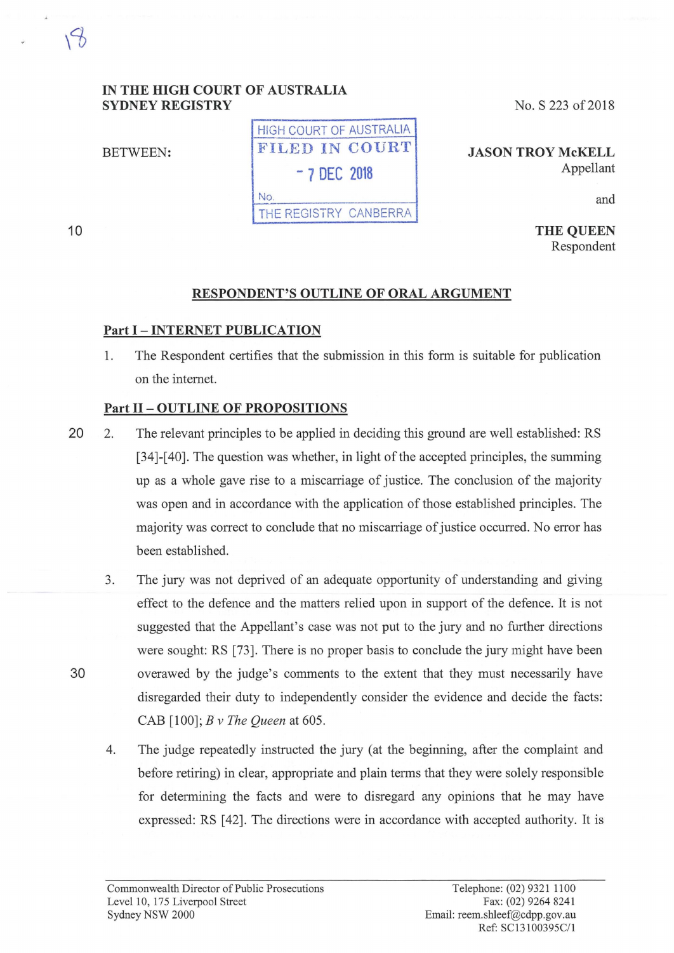### **IN THE HIGH COURT OF AUSTRALIA SYDNEY REGISTRY**

HIGH COURT OF AUSTRALIA BETWEEN: FILED IN COURT - **7 DEC 2018**  No. THE REGISTRY CANBERRA

No. S 223 of 2018

**JASON TROY McKELL**  Appellant

and

**THE QUEEN**  Respondent

# **RESPONDENT'S OUTLINE OF ORAL ARGUMENT**

### **Part** I - **INTERNET PUBLICATION**

1. The Respondent certifies that the submission in this form is suitable for publication on the internet.

# **Part** II - **OUTLINE OF PROPOSITIONS**

- 20 2. The relevant principles to be applied in deciding this ground are well established: RS [34]-[40]. The question was whether, in light of the accepted principles, the summing up as a whole gave rise to a miscarriage of justice. The conclusion of the majority was open and in accordance with the application of those established principles. The majority was correct to conclude that no miscarriage of justice occurred. No error has been established.
- 3. The jury was not deprived of an adequate opportunity of understanding and giving effect to the defence and the matters relied upon in support of the defence. It is not suggested that the Appellant's case was not put to the jury and no further directions were sought: RS [73]. There is no proper basis to conclude the jury might have been 30 overawed by the judge's comments to the extent that they must necessarily have disregarded their duty to independently consider the evidence and decide the facts: CAB [100]; *B v The Queen* at 605.
	- 4. The judge repeatedly instructed the jury (at the beginning, after the complaint and before retiring) in clear, appropriate and plain terms that they were solely responsible for determining the facts and were to disregard any opinions that he may have expressed: RS [ 42]. The directions were in accordance with accepted authority. It is

10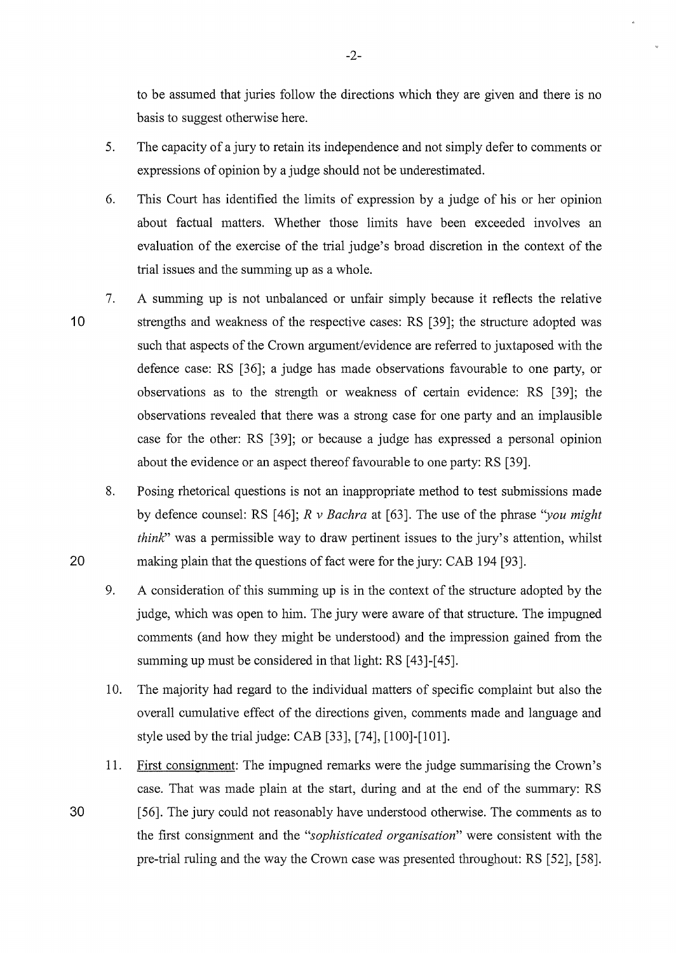to be assumed that juries follow the directions which they are given and there is no basis to suggest otherwise here.

- 5. The capacity of a jury to retain its independence and not simply defer to comments or expressions of opinion by a judge should not be underestimated.
- 6. This Court has identified the limits of expression by a judge of his or her opinion about factual matters. Whether those limits have been exceeded involves an evaluation of the exercise of the trial judge's broad discretion in the context of the trial issues and the summing up as a whole.
- 10 7. A summing up is not unbalanced or unfair simply because it reflects the relative strengths and weakness of the respective cases: RS [39]; the structure adopted was such that aspects of the Crown argument/evidence are referred to juxtaposed with the defence case: RS [36]; a judge has made observations favourable to one party, or observations as to the strength or weakness of certain evidence: RS [39]; the observations revealed that there was a strong case for one party and an implausible case for the other: RS [39]; or because a judge has expressed a personal opinion about the evidence or an aspect thereof favourable to one party: RS [39].
	- 8. Posing rhetorical questions is not an inappropriate method to test submissions made by defence counsel: RS [46]; *R v Bachra* at [63]. The use of the phrase *"you might think*" was a permissible way to draw pertinent issues to the jury's attention, whilst making plain that the questions of fact were for the jury: CAB 194 [93].
	- 9. A consideration of this summing up is in the context of the structure adopted by the judge, which was open to him. The jury were aware of that structure. The impugned comments ( and how they might be understood) and the impression gained from the summing up must be considered in that light: RS [43]-[45].
	- 10. The majority had regard to the individual matters of specific complaint but also the overall cumulative effect of the directions given, comments made and language and style used by the trial judge: CAB [33], [74], [100]-[101].
- 11. First consignment: The impugned remarks were the judge summarising the Crown's case. That was made plain at the start, during and at the end of the summary: RS 30 [56]. The jury could not reasonably have understood otherwise. The comments as to the first consignment and the *"sophisticated organisation"* were consistent with the pre-trial ruling and the way the Crown case was presented throughout: RS [52], [58].

20